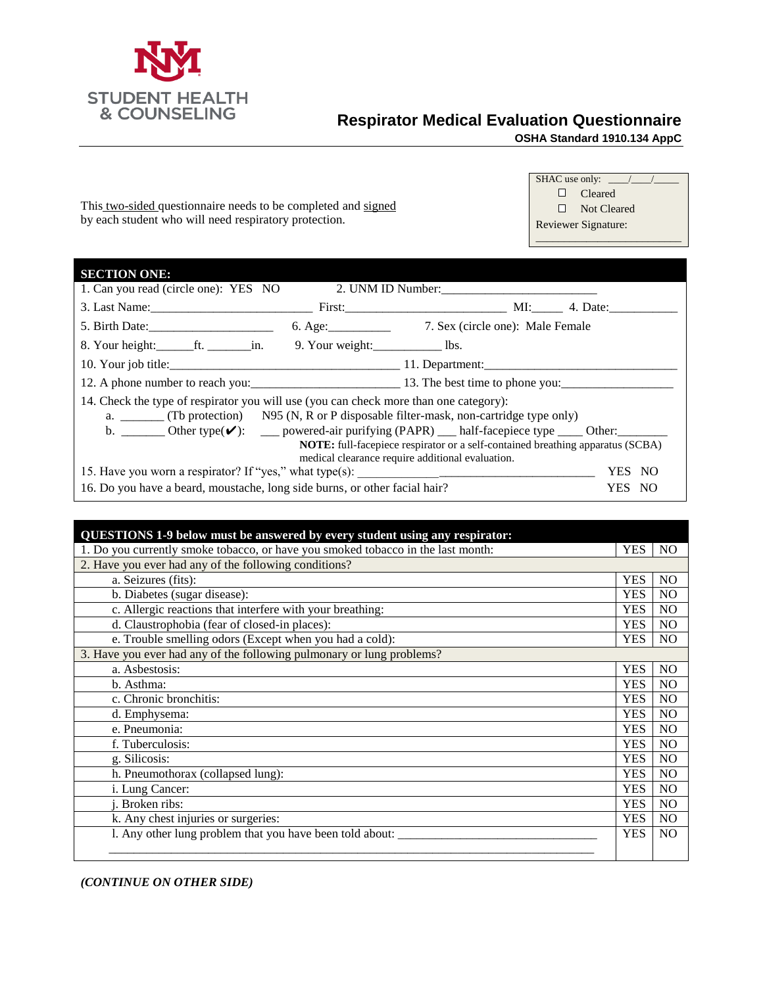

 $SE$ 

## **Respirator Medical Evaluation Questionnaire**

**OSHA Standard 1910.134 AppC**

SHAC use only: \_ Cleared Not Cleared Reviewer Signature:

This two-sided questionnaire needs to be completed and signed by each student who will need respiratory protection.

| <b>SECTION ONE:</b>                                                                                                                                                                                                                                                                                         |  |                                                                                |              |
|-------------------------------------------------------------------------------------------------------------------------------------------------------------------------------------------------------------------------------------------------------------------------------------------------------------|--|--------------------------------------------------------------------------------|--------------|
| 1. Can you read (circle one): YES NO                                                                                                                                                                                                                                                                        |  |                                                                                |              |
|                                                                                                                                                                                                                                                                                                             |  |                                                                                |              |
| 5. Birth Date: 6. Age: 7. Sex (circle one): Male Female                                                                                                                                                                                                                                                     |  |                                                                                |              |
|                                                                                                                                                                                                                                                                                                             |  |                                                                                |              |
|                                                                                                                                                                                                                                                                                                             |  |                                                                                |              |
|                                                                                                                                                                                                                                                                                                             |  |                                                                                |              |
| 14. Check the type of respirator you will use (you can check more than one category):<br>a. ________ (Tb protection) N95 (N, R or P disposable filter-mask, non-cartridge type only)<br>b. ________ Other type $(\vee)$ : _____ powered-air purifying (PAPR) ____ half-facepiece type _____ Other: ________ |  | NOTE: full-facepiece respirator or a self-contained breathing apparatus (SCBA) |              |
|                                                                                                                                                                                                                                                                                                             |  | medical clearance require additional evaluation.                               | YES.<br>- NO |
| 16. Do you have a beard, moustache, long side burns, or other facial hair?                                                                                                                                                                                                                                  |  | YES NO                                                                         |              |

| QUESTIONS 1-9 below must be answered by every student using any respirator:      |            |                |  |
|----------------------------------------------------------------------------------|------------|----------------|--|
| 1. Do you currently smoke tobacco, or have you smoked tobacco in the last month: | <b>YES</b> | N <sub>O</sub> |  |
| 2. Have you ever had any of the following conditions?                            |            |                |  |
| a. Seizures (fits):                                                              | <b>YES</b> | N <sub>O</sub> |  |
| b. Diabetes (sugar disease):                                                     | <b>YES</b> | N <sub>O</sub> |  |
| c. Allergic reactions that interfere with your breathing:                        | <b>YES</b> | N <sub>O</sub> |  |
| d. Claustrophobia (fear of closed-in places):                                    | <b>YES</b> | N <sub>O</sub> |  |
| e. Trouble smelling odors (Except when you had a cold):                          | <b>YES</b> | N <sub>O</sub> |  |
| 3. Have you ever had any of the following pulmonary or lung problems?            |            |                |  |
| a. Asbestosis:                                                                   | <b>YES</b> | <b>NO</b>      |  |
| b. Asthma:                                                                       | <b>YES</b> | N <sub>O</sub> |  |
| c. Chronic bronchitis:                                                           | <b>YES</b> | N <sub>O</sub> |  |
| d. Emphysema:                                                                    | <b>YES</b> | N <sub>O</sub> |  |
| e. Pneumonia:                                                                    | <b>YES</b> | N <sub>O</sub> |  |
| f. Tuberculosis:                                                                 | <b>YES</b> | N <sub>O</sub> |  |
| g. Silicosis:                                                                    | <b>YES</b> | N <sub>O</sub> |  |
| h. Pneumothorax (collapsed lung):                                                | <b>YES</b> | N <sub>O</sub> |  |
| i. Lung Cancer:                                                                  | <b>YES</b> | N <sub>O</sub> |  |
| Broken ribs:                                                                     | <b>YES</b> | N <sub>O</sub> |  |
| k. Any chest injuries or surgeries:                                              | <b>YES</b> | N <sub>O</sub> |  |
| 1. Any other lung problem that you have been told about:                         | <b>YES</b> | N <sub>O</sub> |  |
|                                                                                  |            |                |  |

*(CONTINUE ON OTHER SIDE)*